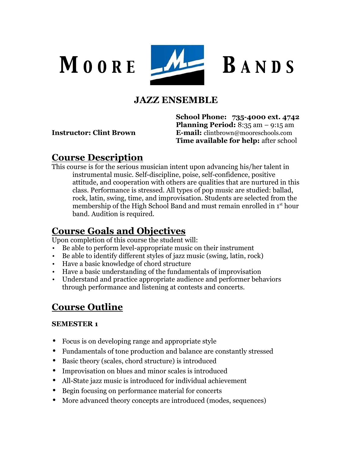

## **JAZZ ENSEMBLE**

**School Phone: 735-4000 ext. 4742 Planning Period:** 8:35 am – 9:15 am **Instructor: Clint Brown E-mail:** clintbrown@mooreschools.com **Time available for help:** after school

### **Course Description**

This course is for the serious musician intent upon advancing his/her talent in instrumental music. Self-discipline, poise, self-confidence, positive attitude, and cooperation with others are qualities that are nurtured in this class. Performance is stressed. All types of pop music are studied: ballad, rock, latin, swing, time, and improvisation. Students are selected from the membership of the High School Band and must remain enrolled in 1<sup>st</sup> hour band. Audition is required.

## **Course Goals and Objectives**

Upon completion of this course the student will:

- Be able to perform level-appropriate music on their instrument
- Be able to identify different styles of jazz music (swing, latin, rock)
- Have a basic knowledge of chord structure
- Have a basic understanding of the fundamentals of improvisation
- Understand and practice appropriate audience and performer behaviors through performance and listening at contests and concerts.

# **Course Outline**

#### **SEMESTER 1**

- Focus is on developing range and appropriate style
- Fundamentals of tone production and balance are constantly stressed
- Basic theory (scales, chord structure) is introduced
- Improvisation on blues and minor scales is introduced
- All-State jazz music is introduced for individual achievement
- Begin focusing on performance material for concerts
- More advanced theory concepts are introduced (modes, sequences)